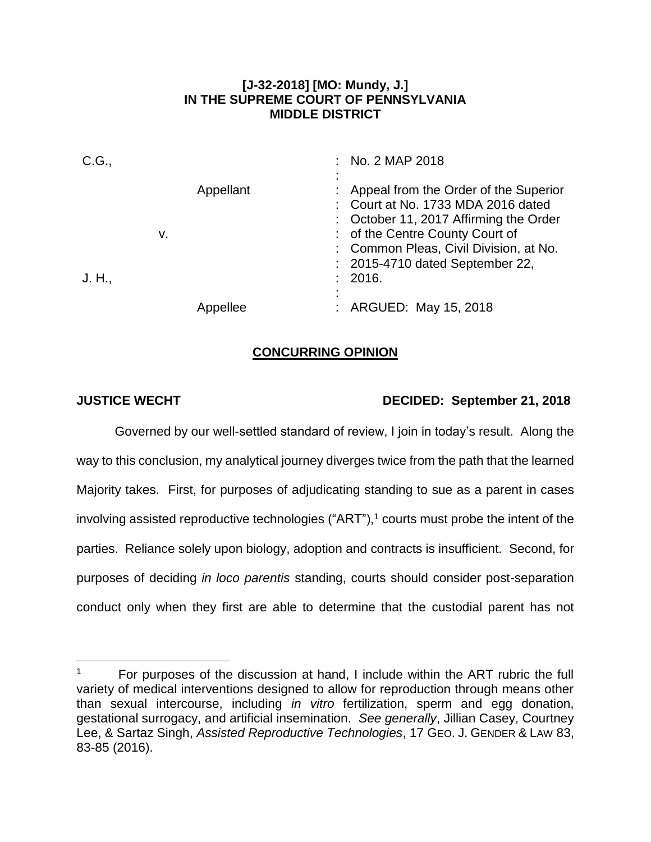#### **[J-32-2018] [MO: Mundy, J.] IN THE SUPREME COURT OF PENNSYLVANIA MIDDLE DISTRICT**

| C.G.,  |    |           |  | : No. 2 MAP 2018                                                                                                                                                                                                                      |
|--------|----|-----------|--|---------------------------------------------------------------------------------------------------------------------------------------------------------------------------------------------------------------------------------------|
|        | v. | Appellant |  | Appeal from the Order of the Superior<br>: Court at No. 1733 MDA 2016 dated<br>: October 11, 2017 Affirming the Order<br>: of the Centre County Court of<br>: Common Pleas, Civil Division, at No.<br>: 2015-4710 dated September 22, |
| J. H., |    |           |  | : 2016.                                                                                                                                                                                                                               |
|        |    | llee      |  | : ARGUED: May 15, 2018                                                                                                                                                                                                                |

## **CONCURRING OPINION**

 $\overline{a}$ 

# **JUSTICE WECHT DECIDED: September 21, 2018**

Governed by our well-settled standard of review, I join in today's result. Along the way to this conclusion, my analytical journey diverges twice from the path that the learned Majority takes. First, for purposes of adjudicating standing to sue as a parent in cases involving assisted reproductive technologies ("ART"),<sup>1</sup> courts must probe the intent of the parties. Reliance solely upon biology, adoption and contracts is insufficient. Second, for purposes of deciding *in loco parentis* standing, courts should consider post-separation conduct only when they first are able to determine that the custodial parent has not

<sup>1</sup> For purposes of the discussion at hand, I include within the ART rubric the full variety of medical interventions designed to allow for reproduction through means other than sexual intercourse, including *in vitro* fertilization, sperm and egg donation, gestational surrogacy, and artificial insemination. *See generally*, Jillian Casey, Courtney Lee, & Sartaz Singh, *Assisted Reproductive Technologies*, 17 GEO. J. GENDER & LAW 83, 83-85 (2016).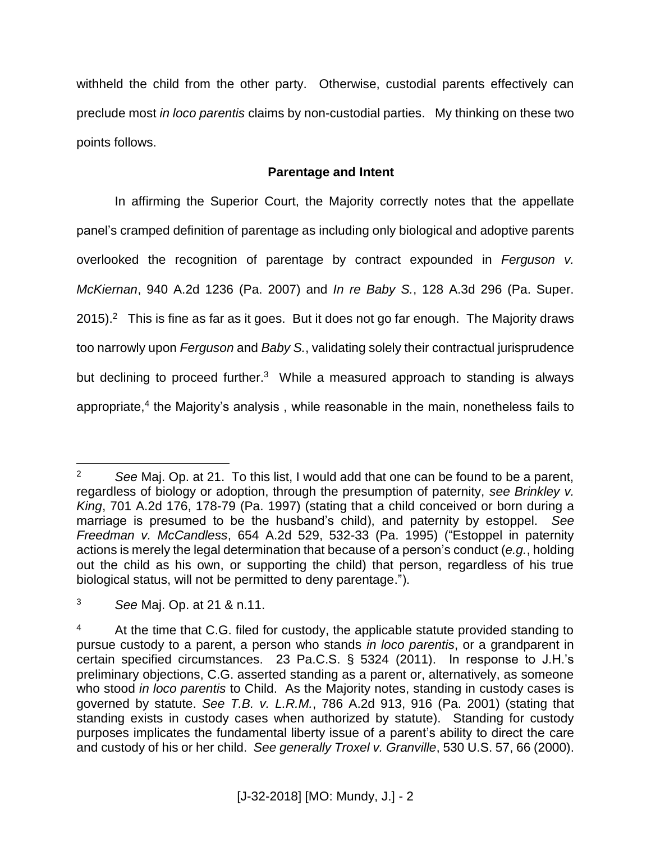withheld the child from the other party. Otherwise, custodial parents effectively can preclude most *in loco parentis* claims by non-custodial parties. My thinking on these two points follows.

# **Parentage and Intent**

 In affirming the Superior Court, the Majority correctly notes that the appellate panel's cramped definition of parentage as including only biological and adoptive parents overlooked the recognition of parentage by contract expounded in *Ferguson v. McKiernan*, 940 A.2d 1236 (Pa. 2007) and *In re Baby S.*, 128 A.3d 296 (Pa. Super.  $2015$ ).<sup>2</sup> This is fine as far as it goes. But it does not go far enough. The Majority draws too narrowly upon *Ferguson* and *Baby S.*, validating solely their contractual jurisprudence but declining to proceed further.<sup>3</sup> While a measured approach to standing is always appropriate,<sup>4</sup> the Majority's analysis, while reasonable in the main, nonetheless fails to

 $\overline{a}$ <sup>2</sup> *See* Maj. Op. at 21. To this list, I would add that one can be found to be a parent, regardless of biology or adoption, through the presumption of paternity, *see Brinkley v. King*, 701 A.2d 176, 178-79 (Pa. 1997) (stating that a child conceived or born during a marriage is presumed to be the husband's child), and paternity by estoppel. *See Freedman v. McCandless*, 654 A.2d 529, 532-33 (Pa. 1995) ("Estoppel in paternity actions is merely the legal determination that because of a person's conduct (*e.g.*, holding out the child as his own, or supporting the child) that person, regardless of his true biological status, will not be permitted to deny parentage.").

<sup>3</sup> *See* Maj. Op. at 21 & n.11.

 $4$  At the time that C.G. filed for custody, the applicable statute provided standing to pursue custody to a parent, a person who stands *in loco parentis*, or a grandparent in certain specified circumstances. 23 Pa.C.S. § 5324 (2011). In response to J.H.'s preliminary objections, C.G. asserted standing as a parent or, alternatively, as someone who stood *in loco parentis* to Child. As the Majority notes, standing in custody cases is governed by statute. *See T.B. v. L.R.M.*, 786 A.2d 913, 916 (Pa. 2001) (stating that standing exists in custody cases when authorized by statute). Standing for custody purposes implicates the fundamental liberty issue of a parent's ability to direct the care and custody of his or her child. *See generally Troxel v. Granville*, 530 U.S. 57, 66 (2000).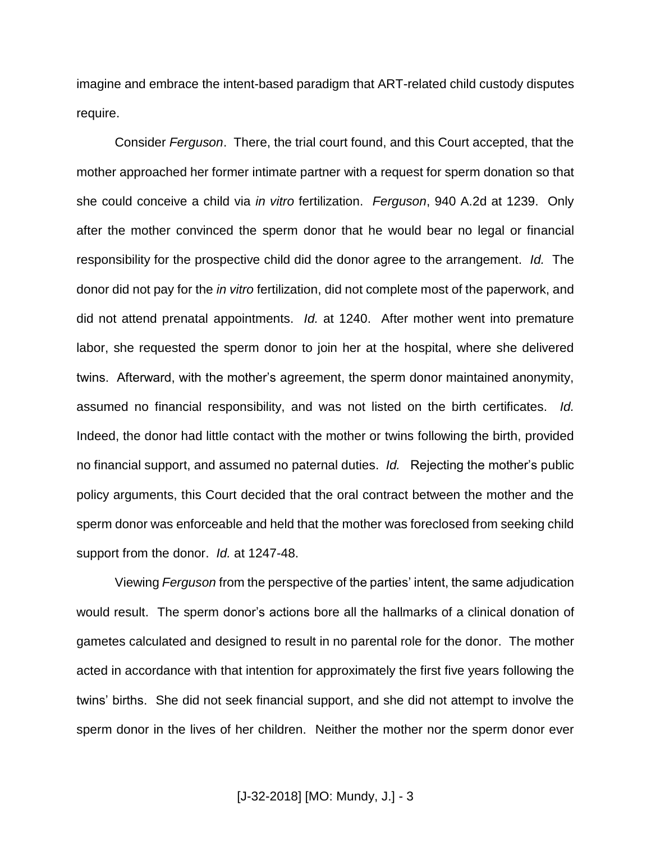imagine and embrace the intent-based paradigm that ART-related child custody disputes require.

Consider *Ferguson*. There, the trial court found, and this Court accepted, that the mother approached her former intimate partner with a request for sperm donation so that she could conceive a child via *in vitro* fertilization. *Ferguson*, 940 A.2d at 1239. Only after the mother convinced the sperm donor that he would bear no legal or financial responsibility for the prospective child did the donor agree to the arrangement. *Id.* The donor did not pay for the *in vitro* fertilization, did not complete most of the paperwork, and did not attend prenatal appointments. *Id.* at 1240. After mother went into premature labor, she requested the sperm donor to join her at the hospital, where she delivered twins. Afterward, with the mother's agreement, the sperm donor maintained anonymity, assumed no financial responsibility, and was not listed on the birth certificates. *Id.* Indeed, the donor had little contact with the mother or twins following the birth, provided no financial support, and assumed no paternal duties. *Id.* Rejecting the mother's public policy arguments, this Court decided that the oral contract between the mother and the sperm donor was enforceable and held that the mother was foreclosed from seeking child support from the donor. *Id.* at 1247-48.

Viewing *Ferguson* from the perspective of the parties' intent, the same adjudication would result. The sperm donor's actions bore all the hallmarks of a clinical donation of gametes calculated and designed to result in no parental role for the donor. The mother acted in accordance with that intention for approximately the first five years following the twins' births. She did not seek financial support, and she did not attempt to involve the sperm donor in the lives of her children. Neither the mother nor the sperm donor ever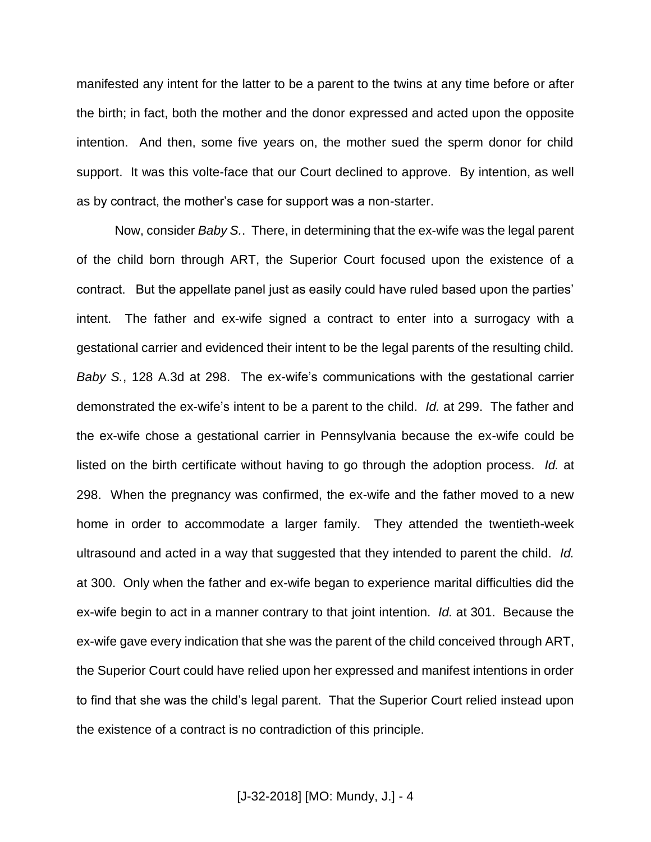manifested any intent for the latter to be a parent to the twins at any time before or after the birth; in fact, both the mother and the donor expressed and acted upon the opposite intention. And then, some five years on, the mother sued the sperm donor for child support. It was this volte-face that our Court declined to approve. By intention, as well as by contract, the mother's case for support was a non-starter.

Now, consider *Baby S.*. There, in determining that the ex-wife was the legal parent of the child born through ART, the Superior Court focused upon the existence of a contract. But the appellate panel just as easily could have ruled based upon the parties' intent. The father and ex-wife signed a contract to enter into a surrogacy with a gestational carrier and evidenced their intent to be the legal parents of the resulting child. *Baby S.*, 128 A.3d at 298. The ex-wife's communications with the gestational carrier demonstrated the ex-wife's intent to be a parent to the child. *Id.* at 299. The father and the ex-wife chose a gestational carrier in Pennsylvania because the ex-wife could be listed on the birth certificate without having to go through the adoption process. *Id.* at 298. When the pregnancy was confirmed, the ex-wife and the father moved to a new home in order to accommodate a larger family. They attended the twentieth-week ultrasound and acted in a way that suggested that they intended to parent the child. *Id.* at 300. Only when the father and ex-wife began to experience marital difficulties did the ex-wife begin to act in a manner contrary to that joint intention. *Id.* at 301. Because the ex-wife gave every indication that she was the parent of the child conceived through ART, the Superior Court could have relied upon her expressed and manifest intentions in order to find that she was the child's legal parent. That the Superior Court relied instead upon the existence of a contract is no contradiction of this principle.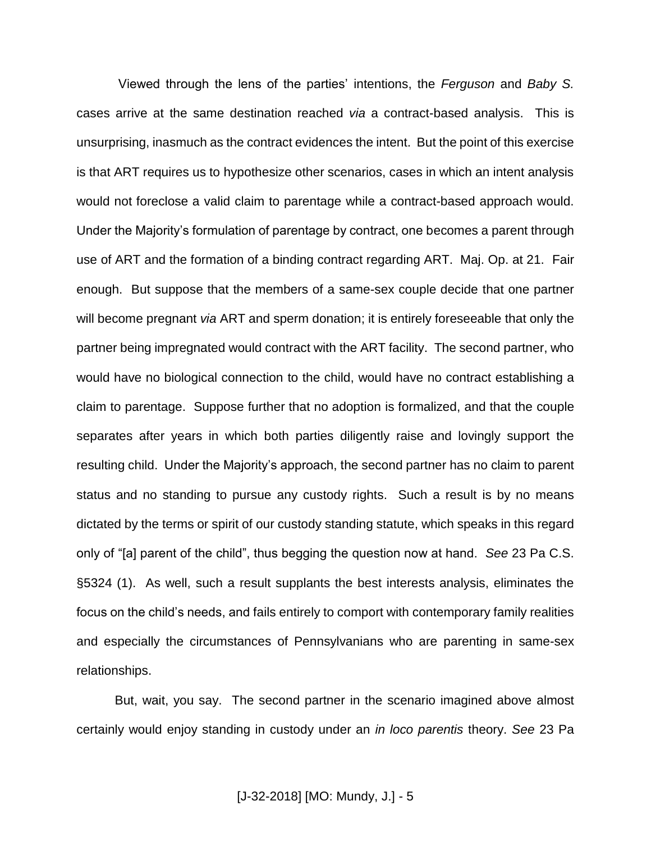Viewed through the lens of the parties' intentions, the *Ferguson* and *Baby S.* cases arrive at the same destination reached *via* a contract-based analysis. This is unsurprising, inasmuch as the contract evidences the intent. But the point of this exercise is that ART requires us to hypothesize other scenarios, cases in which an intent analysis would not foreclose a valid claim to parentage while a contract-based approach would. Under the Majority's formulation of parentage by contract, one becomes a parent through use of ART and the formation of a binding contract regarding ART. Maj. Op. at 21. Fair enough. But suppose that the members of a same-sex couple decide that one partner will become pregnant *via* ART and sperm donation; it is entirely foreseeable that only the partner being impregnated would contract with the ART facility. The second partner, who would have no biological connection to the child, would have no contract establishing a claim to parentage. Suppose further that no adoption is formalized, and that the couple separates after years in which both parties diligently raise and lovingly support the resulting child. Under the Majority's approach, the second partner has no claim to parent status and no standing to pursue any custody rights. Such a result is by no means dictated by the terms or spirit of our custody standing statute, which speaks in this regard only of "[a] parent of the child", thus begging the question now at hand. *See* 23 Pa C.S. §5324 (1). As well, such a result supplants the best interests analysis, eliminates the focus on the child's needs, and fails entirely to comport with contemporary family realities and especially the circumstances of Pennsylvanians who are parenting in same-sex relationships.

But, wait, you say. The second partner in the scenario imagined above almost certainly would enjoy standing in custody under an *in loco parentis* theory. *See* 23 Pa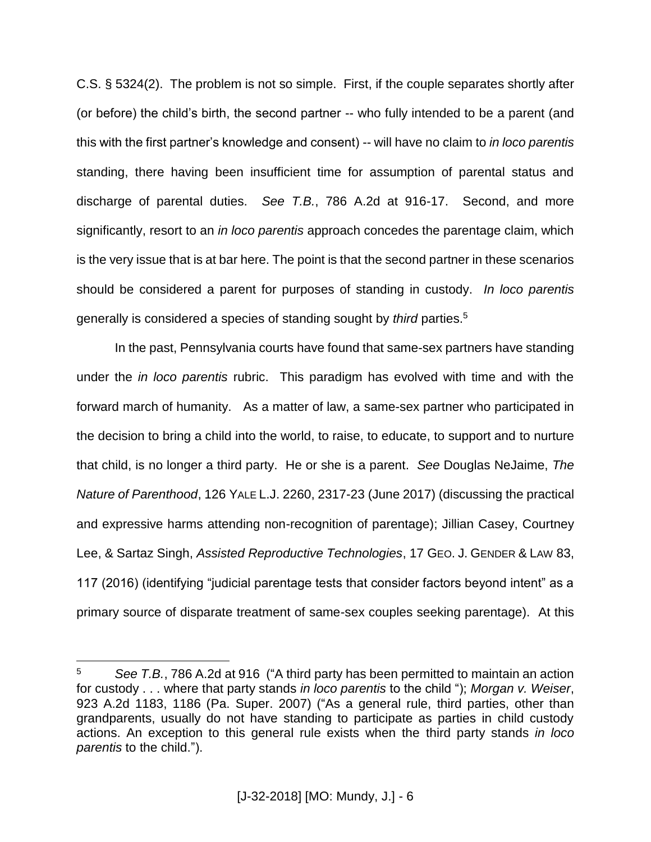C.S. § 5324(2). The problem is not so simple. First, if the couple separates shortly after (or before) the child's birth, the second partner -- who fully intended to be a parent (and this with the first partner's knowledge and consent) -- will have no claim to *in loco parentis* standing, there having been insufficient time for assumption of parental status and discharge of parental duties. *See T.B.*, 786 A.2d at 916-17. Second, and more significantly, resort to an *in loco parentis* approach concedes the parentage claim, which is the very issue that is at bar here. The point is that the second partner in these scenarios should be considered a parent for purposes of standing in custody. *In loco parentis* generally is considered a species of standing sought by *third* parties.<sup>5</sup>

In the past, Pennsylvania courts have found that same-sex partners have standing under the *in loco parentis* rubric. This paradigm has evolved with time and with the forward march of humanity. As a matter of law, a same-sex partner who participated in the decision to bring a child into the world, to raise, to educate, to support and to nurture that child, is no longer a third party. He or she is a parent. *See* Douglas NeJaime, *The Nature of Parenthood*, 126 YALE L.J. 2260, 2317-23 (June 2017) (discussing the practical and expressive harms attending non-recognition of parentage); Jillian Casey, Courtney Lee, & Sartaz Singh, *Assisted Reproductive Technologies*, 17 GEO. J. GENDER & LAW 83, 117 (2016) (identifying "judicial parentage tests that consider factors beyond intent" as a primary source of disparate treatment of same-sex couples seeking parentage). At this

 $\overline{a}$ 

<sup>5</sup> *See T.B.*, 786 A.2d at 916 ("A third party has been permitted to maintain an action for custody . . . where that party stands *in loco parentis* to the child "); *Morgan v. Weiser*, 923 A.2d 1183, 1186 (Pa. Super. 2007) ("As a general rule, third parties, other than grandparents, usually do not have standing to participate as parties in child custody actions. An exception to this general rule exists when the third party stands *in loco parentis* to the child.").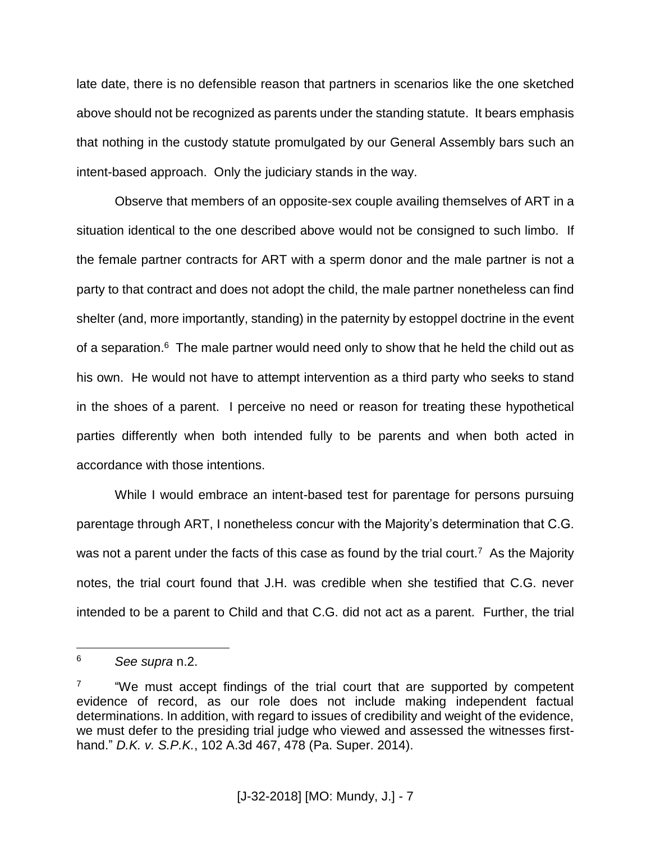late date, there is no defensible reason that partners in scenarios like the one sketched above should not be recognized as parents under the standing statute. It bears emphasis that nothing in the custody statute promulgated by our General Assembly bars such an intent-based approach. Only the judiciary stands in the way.

Observe that members of an opposite-sex couple availing themselves of ART in a situation identical to the one described above would not be consigned to such limbo. If the female partner contracts for ART with a sperm donor and the male partner is not a party to that contract and does not adopt the child, the male partner nonetheless can find shelter (and, more importantly, standing) in the paternity by estoppel doctrine in the event of a separation.<sup>6</sup> The male partner would need only to show that he held the child out as his own. He would not have to attempt intervention as a third party who seeks to stand in the shoes of a parent. I perceive no need or reason for treating these hypothetical parties differently when both intended fully to be parents and when both acted in accordance with those intentions.

While I would embrace an intent-based test for parentage for persons pursuing parentage through ART, I nonetheless concur with the Majority's determination that C.G. was not a parent under the facts of this case as found by the trial court.<sup>7</sup> As the Majority notes, the trial court found that J.H. was credible when she testified that C.G. never intended to be a parent to Child and that C.G. did not act as a parent. Further, the trial

 $\overline{a}$ 

<sup>6</sup> *See supra* n.2.

<sup>7</sup> "We must accept findings of the trial court that are supported by competent evidence of record, as our role does not include making independent factual determinations. In addition, with regard to issues of credibility and weight of the evidence, we must defer to the presiding trial judge who viewed and assessed the witnesses firsthand." *D.K. v. S.P.K.*, 102 A.3d 467, 478 (Pa. Super. 2014).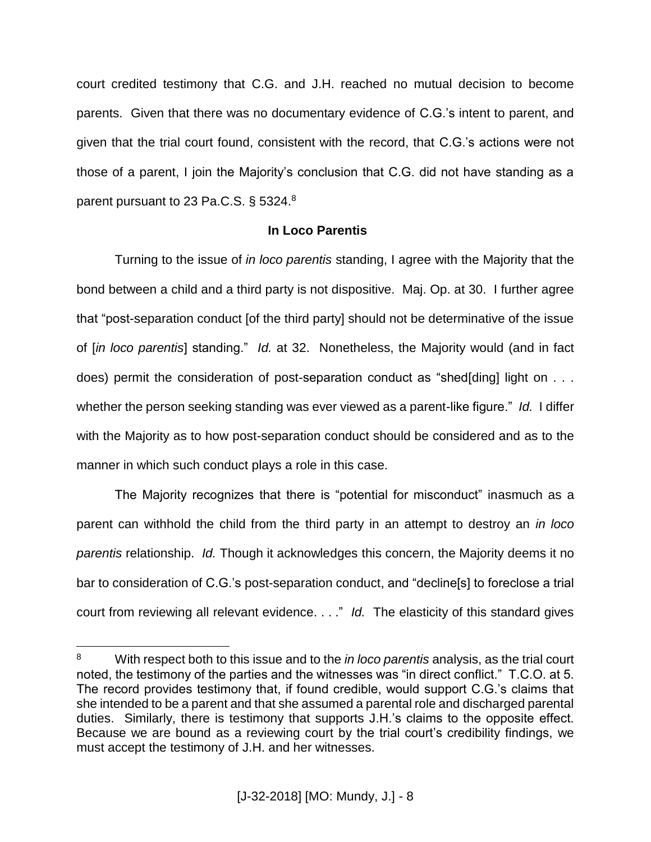court credited testimony that C.G. and J.H. reached no mutual decision to become parents. Given that there was no documentary evidence of C.G.'s intent to parent, and given that the trial court found, consistent with the record, that C.G.'s actions were not those of a parent, I join the Majority's conclusion that C.G. did not have standing as a parent pursuant to 23 Pa.C.S. § 5324.<sup>8</sup>

## **In Loco Parentis**

Turning to the issue of *in loco parentis* standing, I agree with the Majority that the bond between a child and a third party is not dispositive. Maj. Op. at 30. I further agree that "post-separation conduct [of the third party] should not be determinative of the issue of [*in loco parentis*] standing." *Id.* at 32. Nonetheless, the Majority would (and in fact does) permit the consideration of post-separation conduct as "shed[ding] light on . . . whether the person seeking standing was ever viewed as a parent-like figure." *Id.* I differ with the Majority as to how post-separation conduct should be considered and as to the manner in which such conduct plays a role in this case.

The Majority recognizes that there is "potential for misconduct" inasmuch as a parent can withhold the child from the third party in an attempt to destroy an *in loco parentis* relationship. *Id.* Though it acknowledges this concern, the Majority deems it no bar to consideration of C.G.'s post-separation conduct, and "decline[s] to foreclose a trial court from reviewing all relevant evidence. . . ." *Id.* The elasticity of this standard gives

 $\overline{a}$ 

<sup>8</sup> With respect both to this issue and to the *in loco parentis* analysis, as the trial court noted, the testimony of the parties and the witnesses was "in direct conflict." T.C.O. at 5. The record provides testimony that, if found credible, would support C.G.'s claims that she intended to be a parent and that she assumed a parental role and discharged parental duties. Similarly, there is testimony that supports J.H.'s claims to the opposite effect. Because we are bound as a reviewing court by the trial court's credibility findings, we must accept the testimony of J.H. and her witnesses.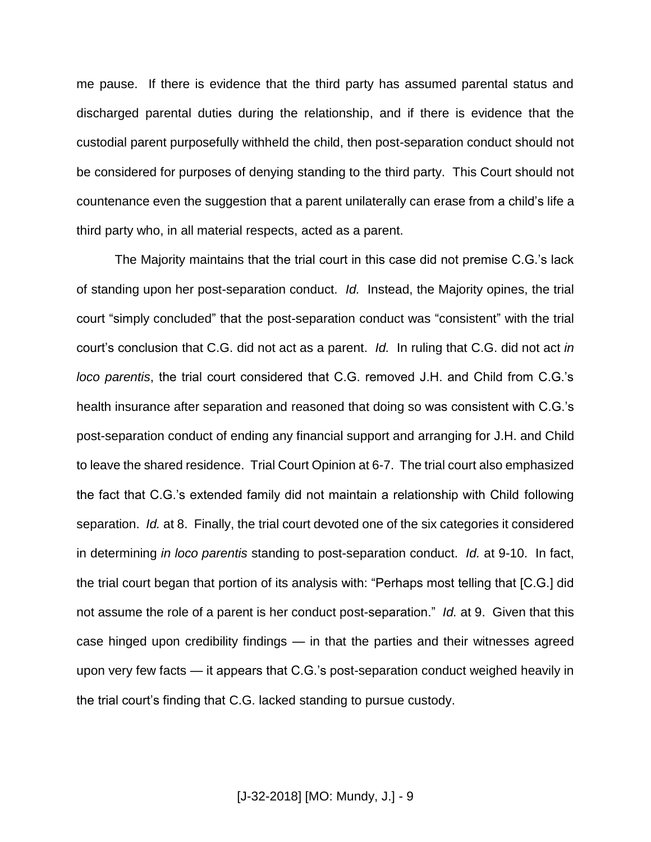me pause. If there is evidence that the third party has assumed parental status and discharged parental duties during the relationship, and if there is evidence that the custodial parent purposefully withheld the child, then post-separation conduct should not be considered for purposes of denying standing to the third party. This Court should not countenance even the suggestion that a parent unilaterally can erase from a child's life a third party who, in all material respects, acted as a parent.

The Majority maintains that the trial court in this case did not premise C.G.'s lack of standing upon her post-separation conduct. *Id.* Instead, the Majority opines, the trial court "simply concluded" that the post-separation conduct was "consistent" with the trial court's conclusion that C.G. did not act as a parent. *Id.* In ruling that C.G. did not act *in loco parentis*, the trial court considered that C.G. removed J.H. and Child from C.G.'s health insurance after separation and reasoned that doing so was consistent with C.G.'s post-separation conduct of ending any financial support and arranging for J.H. and Child to leave the shared residence. Trial Court Opinion at 6-7. The trial court also emphasized the fact that C.G.'s extended family did not maintain a relationship with Child following separation. *Id.* at 8. Finally, the trial court devoted one of the six categories it considered in determining *in loco parentis* standing to post-separation conduct. *Id.* at 9-10. In fact, the trial court began that portion of its analysis with: "Perhaps most telling that [C.G.] did not assume the role of a parent is her conduct post-separation." *Id.* at 9. Given that this case hinged upon credibility findings — in that the parties and their witnesses agreed upon very few facts — it appears that C.G.'s post-separation conduct weighed heavily in the trial court's finding that C.G. lacked standing to pursue custody.